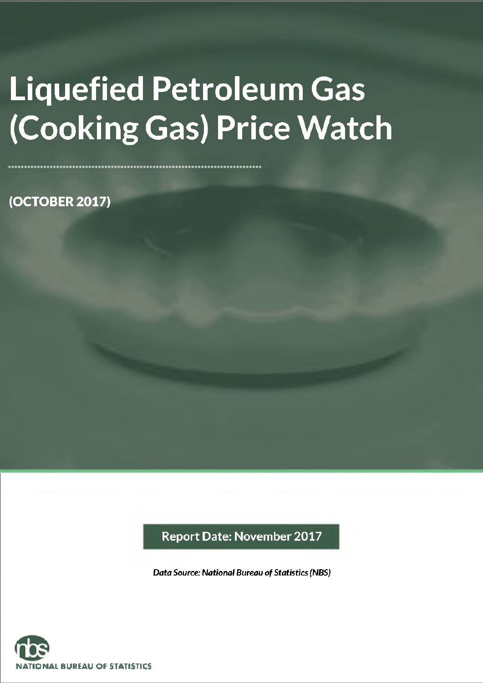# **Liquefied Petroleum Gas (Cooking Gas) Price Watch**

**(OCTOBER 2017)**

**Report Date: November 2017**

*Data Source: National Bureau of Statistics (NBS)*

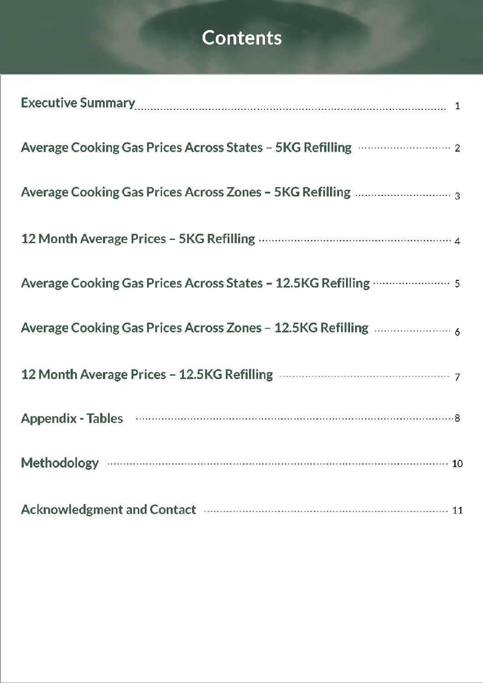## **Contents**

| Executive Summary 2000 March 2000 March 2000 March 2000 March 2000 March 2000 March 2000 March 2000 March 2000 |
|----------------------------------------------------------------------------------------------------------------|
| Average Cooking Gas Prices Across States - 5KG Refilling <b>Community</b> 2                                    |
|                                                                                                                |
|                                                                                                                |
| Average Cooking Gas Prices Across States - 12.5KG Refilling <b>Communishers</b> 5                              |
|                                                                                                                |
|                                                                                                                |
|                                                                                                                |
|                                                                                                                |
| Acknowledgment and Contact manufactured and active and the contract of the contract of the Acknowledgment and  |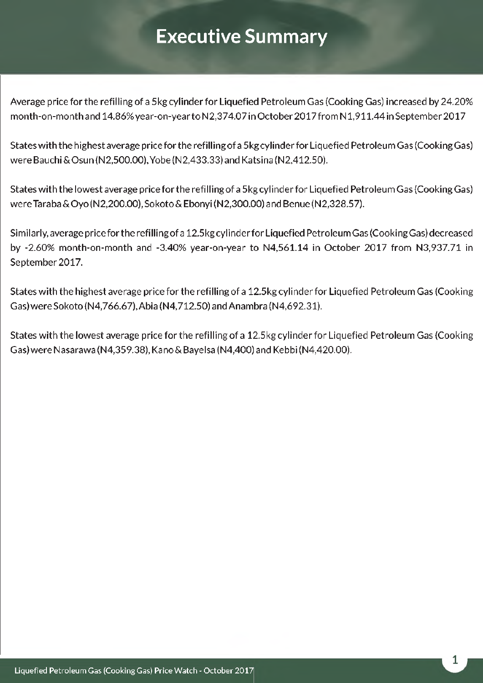## <span id="page-2-0"></span>**Executive Summary**

Average price for the refilling of a 5kg cylinder for Liquefied Petroleum Gas (Cooking Gas) increased by 24.20% month-on-month and 14.86% year-on-year to N2,374.07 in October 2017 from N 1,911.44 in September 2017

States with the highest average price for the refilling of a 5kg cylinder for Liquefied Petroleum Gas (Cooking Gas) were Bauchi &Osun (N2,500.00), Yobe (N2,433.33) and Katsina (N2,412.50).

States with the lowest average price for the refilling of a 5kg cylinder for Liquefied Petroleum Gas (Cooking Gas) were Taraba&Oyo (N2,200.00), Sokoto&Ebonyi(N2,300.00) and Benue (N2,328.57).

Similarly, average price forthe refilling of a 12.5kg cylinderfor Liquefied Petroleum Gas (Cooking Gas) decreased by -2.60% month-on-month and -3.40% year-on-year to N4,561.14 in October 2017 from N3,937.71 in September 2017.

States with the highest average price for the refilling of a 12.5kg cylinder for Liquefied Petroleum Gas (Cooking Gas) were Sokoto (N4,766.67), Abia (N4,712.50) and Anambra (N4,692.31).

States with the lowest average price for the refilling of a 12.5kg cylinder for Liquefied Petroleum Gas (Cooking Gas) were Nasarawa (N4,359.38), Kano & Bayelsa (N4,400) and Kebbi (N4,420.00).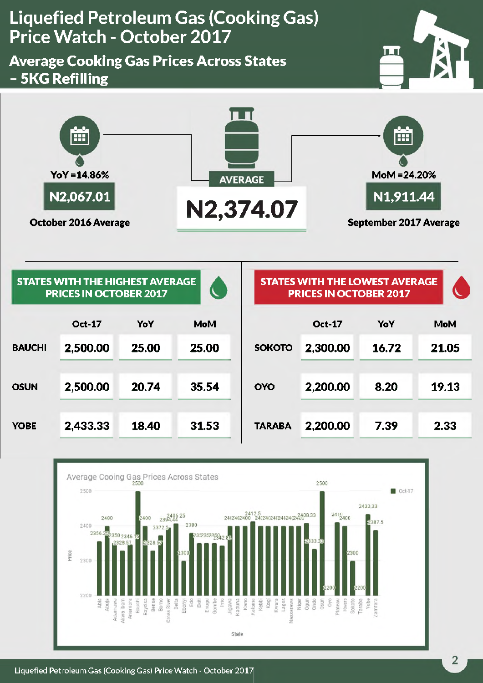### <span id="page-3-0"></span>**Average Cooking Gas Prices Across States - 5KG Refilling**





|               | <b>STATES WITH THE HIGHEST AVERAGE</b><br><b>PRICES IN OCTOBER 2017</b> |       | $\lambda$  |               | <b>STATES WITH THE LOWEST AVERAGE</b><br><b>PRICES IN OCTOBER 2017</b> |       |            |
|---------------|-------------------------------------------------------------------------|-------|------------|---------------|------------------------------------------------------------------------|-------|------------|
|               | <b>Oct-17</b>                                                           | YoY   | <b>MoM</b> |               | <b>Oct-17</b>                                                          | YoY   | <b>MoM</b> |
| <b>BAUCHI</b> | 2,500.00                                                                | 25.00 | 25.00      | <b>SOKOTO</b> | 2,300.00                                                               | 16.72 | 21.05      |
| <b>OSUN</b>   | 2,500.00                                                                | 20.74 | 35.54      | <b>OYO</b>    | 2,200.00                                                               | 8.20  | 19.13      |
| <b>YOBE</b>   | 2,433.33                                                                | 18.40 | 31.53      | <b>TARABA</b> | 2,200.00                                                               | 7.39  | 2.33       |

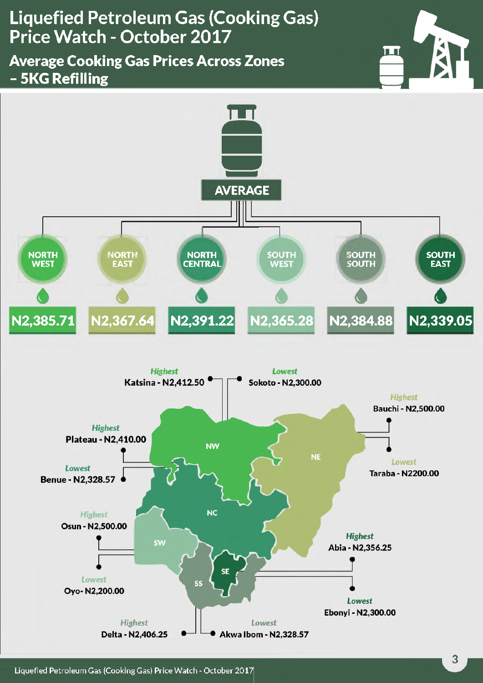<span id="page-4-0"></span>**Average Cooking Gas Prices Across Zones - 5KG Refilling**





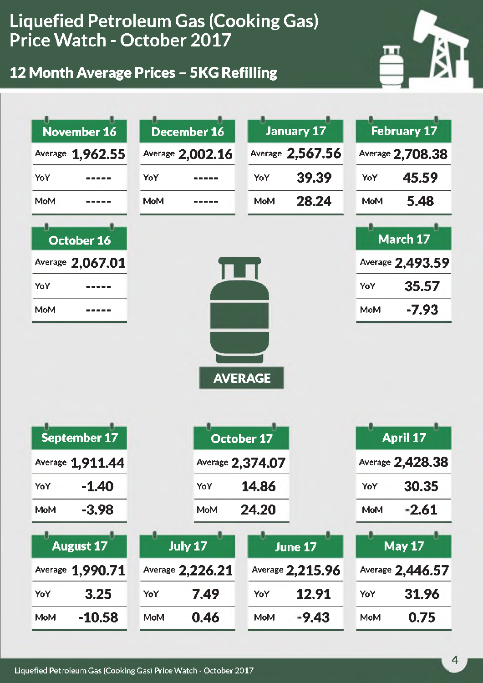### **12 Month Average Prices - 5KG Refilling**



| November 16       | <b>December 16</b> | <b>January 17</b>   | <b>February 17</b> |  |  |  |  |
|-------------------|--------------------|---------------------|--------------------|--|--|--|--|
| Average 1,962.55  | Average 2,002.16   | Average 2,567.56    | Average 2,708.38   |  |  |  |  |
| YoY               | YoY                | 39.39<br>YoY        | 45.59<br>YoY       |  |  |  |  |
| <b>MoM</b>        | <b>MoM</b>         | 28.24<br><b>MoM</b> | 5.48<br><b>MoM</b> |  |  |  |  |
| <b>October 16</b> |                    |                     | March 17           |  |  |  |  |
| Average 2,067.01  |                    |                     | Average 2,493.59   |  |  |  |  |
| YoY               |                    |                     | 35.57<br>YoY       |  |  |  |  |
| <b>MoM</b>        |                    |                     | $-7.93$<br>MoM     |  |  |  |  |
| September 17      |                    | <b>October 17</b>   | <b>April 17</b>    |  |  |  |  |
| Average 1,911.44  |                    | Average 2,374.07    | Average 2,428.38   |  |  |  |  |
| $-1.40$<br>YoY    | YoY                | 14.86               | 30.35<br>YoY       |  |  |  |  |
| $-3.98$<br>MoM    | MoM                | 24.20               | $-2.61$<br>MoM     |  |  |  |  |
| <b>August 17</b>  | July 17            | June 17             | <b>May 17</b>      |  |  |  |  |
| Average 1,990.71  | Average 2,226.21   | Average 2,215.96    | Average 2,446.57   |  |  |  |  |
| 3.25<br>YoY       | 7.49<br>YoY        | 12.91<br>YoY        | 31.96<br>YoY       |  |  |  |  |
| $-10.58$<br>MoM   | 0.46<br>MoM        | $-9.43$<br>MoM      | 0.75<br>MoM        |  |  |  |  |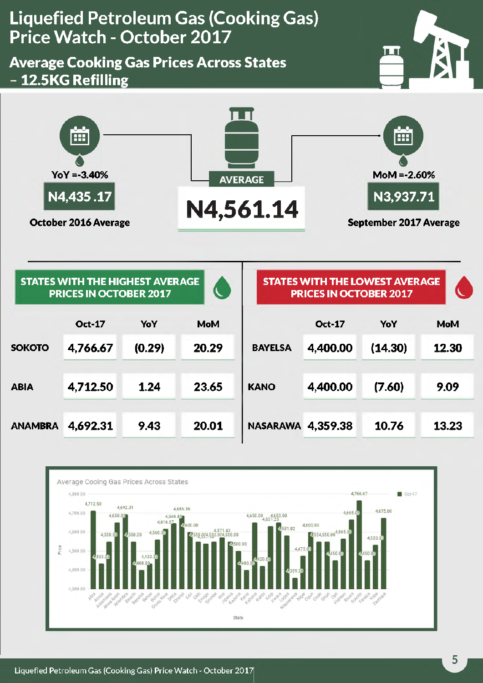<span id="page-6-0"></span>**Liquefied Petroleum Gas (Cooking Gas) Price Watch - October 2047** ш **Average Cooking Gas Prices Across States - 12.5KG Refilling** Ě ĚĚ **YoY =-3.40% MoM =-2.60% AVERAGE N4,435 .17 N3,937.71 CCCODER 2016 Average N4,561.14 September 2017 Average**

|                | <b>STATES WITH THE HIGHEST AVERAGE</b><br><b>PRICES IN OCTOBER 2017</b> |        |            |                 | <b>STATES WITH THE LOWEST AVERAGE</b><br><b>PRICES IN OCTOBER 2017</b> |         |            |  |
|----------------|-------------------------------------------------------------------------|--------|------------|-----------------|------------------------------------------------------------------------|---------|------------|--|
|                | <b>Oct-17</b>                                                           | YoY    | <b>MoM</b> |                 | <b>Oct-17</b>                                                          | YoY     | <b>MoM</b> |  |
| <b>SOKOTO</b>  | 4,766.67                                                                | (0.29) | 20.29      | <b>BAYELSA</b>  | 4,400.00                                                               | (14.30) | 12.30      |  |
| <b>ABIA</b>    | 4,712.50                                                                | 1.24   | 23.65      | <b>KANO</b>     | 4,400.00                                                               | (7.60)  | 9.09       |  |
| <b>ANAMBRA</b> | 4.692.31                                                                | 9.43   | 20.01      | <b>NASARAWA</b> | 4,359.38                                                               | 10.76   | 13.23      |  |

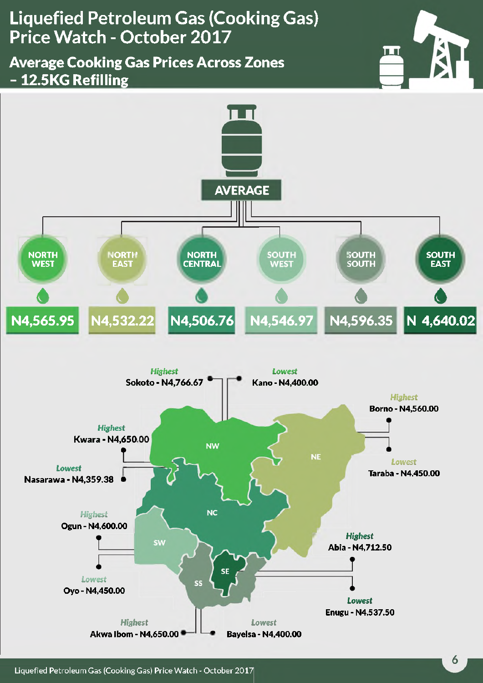### <span id="page-7-0"></span>**Average Cooking Gas Prices Across Zones - 12.5KG Refilling**



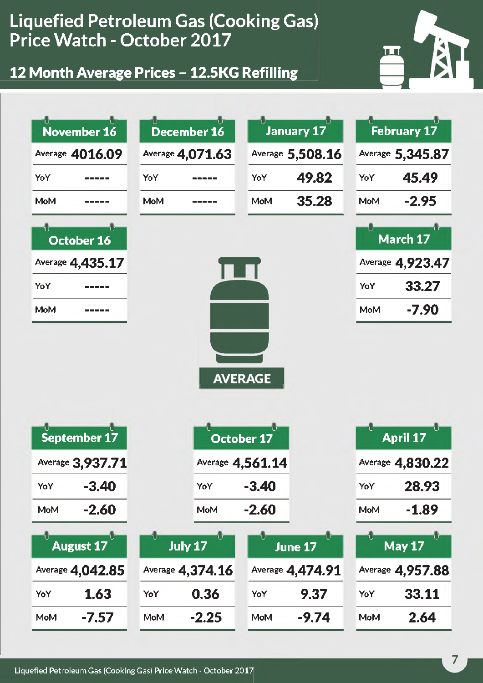**12 Month Average Prices - 12.5KG Refilling**



| November 16           | December 16      | January 17                          | <b>February 17</b>    |  |  |  |  |
|-----------------------|------------------|-------------------------------------|-----------------------|--|--|--|--|
| Average 4016.09       | Average 4,071.63 | Average 5,508.16                    | Average 5,345.87      |  |  |  |  |
| YoY                   | YoY              | 49.82<br>YoY                        | 45.49<br>YoY          |  |  |  |  |
| MoM                   | <b>MoM</b>       | 35.28<br><b>MoM</b>                 | $-2.95$<br><b>MoM</b> |  |  |  |  |
| October 16            |                  |                                     | March 17              |  |  |  |  |
| Average 4,435.17      |                  |                                     | Average 4,923.47      |  |  |  |  |
| YoY                   |                  |                                     | 33.27<br>YoY          |  |  |  |  |
| MoM                   |                  |                                     | $-7.90$<br><b>MoM</b> |  |  |  |  |
| September 17          |                  | <b>AVERAGE</b><br><b>October 17</b> | <b>April 17</b>       |  |  |  |  |
| Average 3,937.71      |                  | Average 4,561.14                    | Average 4,830.22      |  |  |  |  |
| $-3.40$<br>YoY        | YoY              | $-3.40$                             | 28.93<br>YoY          |  |  |  |  |
| $-2.60$<br>MoM        | MoM              | $-2.60$                             | $-1.89$<br>MoM        |  |  |  |  |
| Ú<br><b>August 17</b> | <b>July 17</b>   | June 17                             | <b>May 17</b>         |  |  |  |  |
| Average 4,042.85      | Average 4,374.16 | Average 4,474.91                    | Average 4,957.88      |  |  |  |  |
| 1.63<br>YoY           | 0.36<br>YoY      | 9.37<br>YoY                         | 33.11<br>YoY          |  |  |  |  |
| -7.57<br>MoM          | $-2.25$<br>MoM   | -9.74<br>MoM                        | 2.64<br><b>MoM</b>    |  |  |  |  |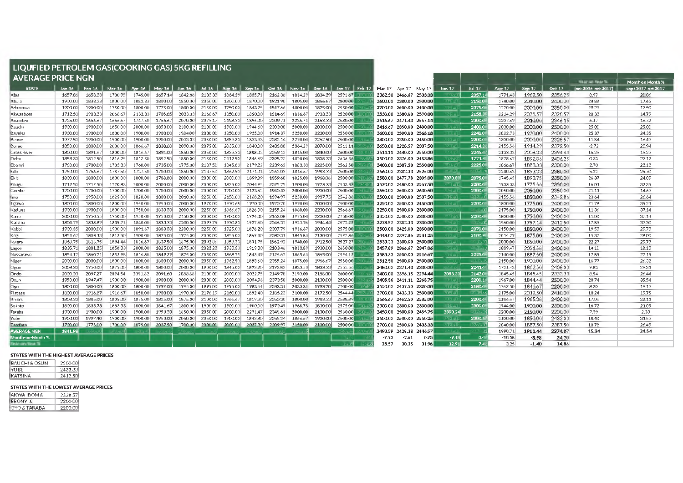#### **LIQUFIED PETROLEM GAS(COOKING GAS) 5KG REFILLING**

| I AVERAGE PRICE NGN  |         |         |         |         |          |           |                         |         |               |          |          |         |                 |         |                         |                         |               |                  |          |          |         | THAT IN THAT TO     | Month on Month %   |
|----------------------|---------|---------|---------|---------|----------|-----------|-------------------------|---------|---------------|----------|----------|---------|-----------------|---------|-------------------------|-------------------------|---------------|------------------|----------|----------|---------|---------------------|--------------------|
| <b>STATE</b>         | Jan-16  | Feb-16  | Mar-16  | Apr-16  | $May-16$ | $J$ un-16 | $Jul-16$                |         | Aug-16 Sep-16 | $Qct-16$ | $Nov-16$ | Dec-16  | Jan-17   Feb-17 |         |                         | Mar-17 Apr-17 May-17    | <b>Jun-17</b> | $Jul-17$         | Aug-17   | $Sep-17$ | Oct-17  | loct 2016-act 2017) | sept 2017-oct 2017 |
| Abia                 | 1657.86 | 1658.33 | 1730.95 | 1745.00 | 1657.14  | 1842.86   | 2133.33                 | 1864.29 | 1835.71       | 2162.36  | 1814.29  | 1834.29 | 2591.67         |         | 2362.50 2466.67 2533.33 |                         |               | 2357.1           | 1771.43  | 1962.50  | 2356.25 | 8.97                | 20.06              |
| Abuia                | 1900.00 | 1833.33 | 1800.00 | 1883.33 | 1800.00  | 1850.00   | 2050.00                 | 1800.00 | 1870.00       | 1921.90  | 1805.00  | 1866.67 | 2800.00         |         |                         | 2600.00 2380.00 2500.00 |               | 2150.0           | 1740.00  | 2040.00  | 2400,00 | 24.88               | 17.65              |
| Adamawa              | 1900.00 | 1900.00 | 1750.00 | 1800.00 | 1775.00  | 1800.00   | 2150.00                 | 1750.00 | 1843.75       | 1817.66  | 1800.00  | 1825.00 | 2550.00         |         |                         | 2700.00 2500.00 2400.00 |               | 2375.0           | 1720.00  | 2000.00  | 2350.00 | 29.29               | 17.50              |
| Akwa Ibom            | 1712.50 | 1983.33 | 2066.67 | 2133.33 | 1705.65  | 2033.33   | 2166.67                 | 1850.00 | 1850.00       | 1814.69  | 1816.67  | 1933.33 | 2520.00         |         |                         | 2530.00 2380.00 2590.00 |               | 2158.3           | 2214.29  | 2028.57  | 2328.57 | 28.32               | 14.79              |
| Anambra              | 1725.00 | 1666.67 | 1666.67 | 1747.50 | 1766.67  | 2070.00   | 2079.17                 | 2198.33 | 1895.00       | 2209.71  | 2235.71  | 2163.33 | 2580.00         |         |                         | 2516.67 2471.43 2557.14 |               | 2300.0           | 2207.69  | 2010.00  | 2346.15 | 6.17                | 16.72              |
| Bauchi               | 1900.00 | 1900.00 | 1850.00 | 2000.00 | 1850.00  | 2100.00   | 2100.00                 | 1900.00 | 1944.60       | 2000.00  | 2000.00  | 2000.00 | 2500.00         |         | 2416.67 2350.00 2400.00 |                         |               | 2400.0           | 2000.00  | 2000.00  | 2500.00 | 25.00               | 25.00              |
| Bayelsa              | 1900.00 | 1900.00 | 1800.00 | 1900.00 | 1900.00  | 1984.00   | 2000.00                 | 1850.00 | 1925.00       | 1914.37  | 2250.00  | 2200.00 | 2550.00         |         |                         | 2600.00 2500.00 2568.18 |               | 2240.0           | 2022.73  | 1930.00  | 2400.00 | 25.37               | 24.35              |
| Benue                | 1977.50 | 1900.00 | 1900.00 | 1900.00 | 1900.00  | 2033.33   | 2050.00                 | 1883.83 | 1833.33       | 2082.14  | 2270.00  | 2262.50 | 2500.00         |         |                         | 2400.00 2350.00 2450.00 |               | 2200.0           | 1800.00  | 2000.00  | 2328.57 | 1184                | 16.43              |
| Borno                | 1850.00 | 1800.00 | 2030.00 | 1866.67 | 1838.60  | 2090.00   | 2075.00                 | 2035.00 | 1840.00       | 2438.88  | 2364.29  | 2070.00 | 2511.11         |         |                         | 2650.00 2228.57 2337.50 |               | 2214.2           | 2155.56  | 1914.29  | 2372.50 | $-2.72$             | 23.94              |
| Cross River          | 1800.00 | 1891.6  | 1800.00 | 1816.67 | 1894.00  | 1850.00   | 2050.00                 | 1833.33 | 1888.02       | 2059.12  | 1815.00  | 1840.00 | 2600.00         |         |                         | 2511.11 2440.00 2550.00 |               | 2245.4           | 2133.33  | 2008.33  | 2394.44 | 16.29               | 19.23              |
| Delta                | 1858.33 | 1812.50 | 1816.25 | 1812.50 | 1852.50  | 1850.00   | 2150.00                 | 2112.50 | 1846.69       | 2398.22  | 1820.00  | 1808.33 | 2636.36         |         | 2500.00 2375.00 2453.85 |                         |               | 1771.4           | 1878.67  | 189286   | 2406.25 | 0.33                | 27.12              |
| Ebonyi               | 1780.00 | 1700.00 | 1733.33 | 1760.00 | 1735.00  | 1775.00   | 2187.50                 | 1845.83 | 2179.22       | 2239.62  | 1883.33  | 2225.00 | 2562.50         |         | 2400.00 2387.50 2550.00 |                         |               | 2225.0           | 1866.67  | 1883.33  | 2300.00 | 2.70                | 22.12              |
| Edo                  | 1750.00 | 1766.67 | 1787.50 | 1737.50 | 1700.00  | 1850.00   | 213750                  | 1862.50 | 217101        | 2262.03  | 1816.67  | 1983.33 | 2500.00         |         | 2560.00 2383.33 2525.00 |                         |               |                  | 2240.63  | 1893.33  | 2380.00 | 5.22                | 25.70              |
| <b>Ekiti</b>         | 1800.00 | 1800.00 | 1800.00 | 1800.00 | 1788.80  | 2000.00   | 2000.00                 | 2000.00 | 1859.89       | 1859.60  | 1825.00  | 1968.06 | 2500.00         |         |                         | 2580.00 2477.78 2305.00 | 2070.83       | 2075.0           | 1745.45  | 1893.75  | 2350.00 | 26.37               | 24.09              |
| Enugu                | 1712.50 | 1712.50 | 1720.83 | 2000.00 | 2000.00  | 2000.00   | 2000.00                 | 1825.00 | 2044.95       | 2025.75  | 1900.00  | 1923.33 | 2533.33         |         |                         | 2570.00 2480.00 2562.50 | 21 I.A. (JK   | 2200.0           | 1933.33  | 1775.56  | 2350.00 | 16.01               | 32.35              |
| Gombe                | 1700.00 | 1700.00 | 1700.00 | 1700.00 | 1700.00  | 2000.00   | 2000.00                 | 1700.00 | 2123.52       | 1940.43  | 2000.00  | 1900.00 | 2500.00         |         |                         | 2650.00 2500.00 2600.50 |               | 2300.0           | 2050.00  | 2050.00  | 2350.00 | 2111                | 14.63              |
| llmo                 | 1750.00 | 1950.00 | 1825.00 | 1820.00 | 1800.00  | 2010.00   | 2250,00                 | 2150.00 | 2168.20       | 1894.97  | 2250,00  | 1987.75 | 2542.86         |         |                         | 2500.00 2500.00 2537.50 |               | <b>CXBOX</b>     | 2155.56  | 1850.00  | 234286  | 23.64               | 26.64              |
| Jigawa               | 1800.00 | 1800.00 | 1800.00 | 1950.00 | 1950.00  | 2000.00   | 1970.00                 | 1970.68 | 1970.00       | 1970.70  | 1970.00  | 2000.00 | 2500.00         |         |                         | 2250.00 2500.00 2450.00 |               | 2200,0           | 1800.00  | 1775.00  | 2400.00 | 2178                | 35.21              |
| Kaduna               | 1900.00 | 1900.00 | 1800.00 | 1750.00 | 1833.33  | 2000.00   | 2250.00                 | 1866.67 | 1826.00       | 2155.24  | 1880.00  | 2200.00 | 2566.67         |         |                         | 2250.00 2500.00 2300.00 |               |                  | 2175.00  | 1750.00  | 2400.00 | 11.36               | 37.14              |
| Kano                 | 2000.00 | 1950.55 | 1950.00 | 1950.00 | 1950.00  | 2150,00   | 2000.00                 | 1900.00 | 1994.00       | 2162.08  | 1975.00  | 2200.00 | 2750.00         |         | 2350,00 2500,00 2300,00 |                         |               | 2200.0           | 1800.00  | 1750.00  | 2400.00 | 1100                | 37.14              |
| Katsina              | 1801.79 | 1838.89 | 1835.71 | 1840.00 | 1833.33  | 2200.00   | 2093.75                 | 1970.83 | 1927.60       | 2046.37  | 1923.96  | 1944.44 | 257222          |         |                         | 2278.57 2383.33 2300.00 |               |                  | 1960.00  | 1757.14  | 2412.50 | 17.89               | 37.30              |
| Kebbi                | 1900.65 | 2000.00 | 1900.00 | 1891.67 | 1883.33  | 2200.00   | 2250.00                 | 1925.00 | 1876.20       | 2007.79  | 1916.67  | 2000.00 | 2575.00         |         |                         | 2500.00 2425.00 2350.00 |               | 2370.0           | 2150.00  | 1850.00  | 2400.00 | 19.53               | 29.73              |
| Kogi                 | 1851.67 | 1803.13 | 1812.50 | 1900.00 | 1875.00  | 1975.00   | 2000.00                 | 1855.00 | 1869.10       | 2080.31  | 1845.83  | 2130.00 | 2592.86         |         | 2448.00 2392.86 2531.25 |                         |               | 2100.9           | 2014.29  | 1875.00  | 2400.00 | 15.37               | 28.00              |
| Kwara                | 1868.75 | 1818.75 | 1894.44 | 1816.67 | 1837.50  | 1875.00   | 2092.86                 | 1858.33 | 1831.75       | 1962.92  | 1940.00  | 1912.50 | 2527.27         |         | 2533.33 2300.00 2500.00 |                         |               |                  | 2000.00  | 1850.00  | 2400.00 | 22.27               | 29.73              |
| Lagos                | 1835.71 | 1881.25 | 1858.33 | 2000.00 | 1825.00  | 1875.00   | 2022.22                 | 1933.33 | 1919.30       | 2103.46  | 1813.89  | 1900.00 | 2650.00         |         |                         | 2457.89 2366.67 2347.06 |               |                  | 1889.47  | 2031.58  | 2400.00 | 14.10               | 18.13              |
| Nassarawa            | 1854.17 | 1860.71 | 1852.98 | 1814.88 | 1849.29  | 1875.00   | 2050.00                 | 1868.7  | 1843.49       | 2126.67  | 1865.63  | 1865.00 | 2594.12         |         | 2583.33 2500.00 2516.67 |                         |               | 2225.0           | 2140.00  | 1887.50  | 2400.00 | 1285                | 27.15              |
| Niger                | 2000.00 | 2000.00 | 1800.00 | 1800.00 | 1800.00  | 2000.00   | 2050.00                 | 1962.50 | 1893.60       | 2055.24  | 1875.00  | 1966.67 | 2550.00         |         |                         | 2512.50 2500.00 2500.00 |               |                  | 2150.00  | 1900.00  | 2400.00 | 16.77               | 26.32              |
| Ogun                 | 2008.33 | 1950.00 | 1875.00 | 1800.00 | 1800.00  | 2000.00   | 1900.00                 | 1845.00 | 1893.20       | 219282   | 183353   | 1833.33 | 2555.56         |         |                         | 2480.00 2371.43 2300.00 |               | 2241.6           | 1721.43  | 1862.50  | 2408.33 | 9.83                | 29.31              |
| Ondo                 | 2000.00 | 2097.27 | 2094.54 | 2091.82 | 2091.60  | 2088.88   | 2100.00                 | 2000.00 | 2022.75       | 2149.78  | 2190.00  | 2188.00 | 2600.00         |         |                         | 2400.00 2396.15 2294.44 | 2083.33       | 2142.0           | 1845.45  | 1845.45  | 2333.33 | 8.54                | 26.44              |
| Osun.                | 1950.00 | 1947.47 | 1900.00 | 1900.00 | 1900.00  | 2000.00   | 2000.00                 | 2000.00 | 2034.96       | 2070.58  | 2000.00  | 2100.00 | 2500.00         |         |                         | 2405.56 2411.11 2268.75 |               | 2200.1           | 1967.00  | 1844.44  | 2500.00 | 20.74               | 35.54              |
| Oyo.                 | 1800.00 | 1800.00 | 1800.00 | 1800.00 | 1992.00  | 1995.00   | 1995.00                 | 1995.00 | 1983.64       | 2033.31  | 2033.31  | 1993.20 | 2700.00         |         |                         | 2550.00 2437.50 2320.00 |               | 2180.0           | 1762.50  | 1846.67  | 2200.00 | 8.20                | 19.13              |
| Plateau              | 1800.00 | 1916.87 | 1916.67 | 1850.00 | 1900.00  | 1970.00   | 2176.19                 | 2160.00 | 1892.40       | 2186.23  | 2100.00  | 2172.50 | 2544.44         |         |                         | 2700.00 2433.33 2500.00 | 2090.0        | <b>21179 4</b>   | 2175.00  | 2012.50  | 2410.00 | 10.24               | 19.75              |
| Rivers               | 1808.33 | 1885.00 | 1805.00 | 1875.00 | 1825.00  | 1875.00   | 2100.00                 | 1966.6  | 1819.30       | 2050.30  | 1800.00  | 1983.33 | 2588.89         |         |                         | 2566.67 2462.50 2585.00 |               | 2200.6           | 2186.67  | 1965.38  | 2400.00 | 17.06               | 22.11              |
| Sokoto               | 1800.00 | 1833.73 | 1883.33 | 1800.00 | 1841.67  | 1800.00   | 1900.00                 | 1900.00 | 1900.00       | 1970.49  | 1968.75  | 1800.00 | 2575.00         |         |                         | 2300.00 2300.00 2300.00 | 3 Home        | 2300.0           | 1944.00  | 1900.00  | 2300.00 | 16.72               | 21.05              |
| Taraba               | 1900.00 | 1900.00 | 1900.00 | 1900.00 | 1958.33  | 1850.00   | 2050.00                 | 2000.00 | 2231.47       | 2048.61  | 2000.00  | 2100.00 | 2580.00         |         | 2450.00 2500.00 2455.75 |                         | 2300.24       |                  | 2200.00  | 2150.00  | 2200.00 | 7.39                | 2.33               |
| Yobe                 | 1900.00 | 1997.40 | 1900.00 | 1900.00 | 1950.00  | 2050.00   | 2050.00                 | 1900.00 | 1843.80       | 2055.24  | 1866.67  | 1900.00 | 2500.00         |         |                         | 2500.00 2500.00 2550.25 | 2400.JX       | 2300.5           | 2100.00  | 1850.00  | 2433.33 | 18.40               | 3153               |
| Zamfara              | 1700.00 | 1775.00 | 1700.00 | 1875.00 |          |           | 2037.50 1700.00 2000.00 | 2000.00 | 2037.30       | 2009.97  | 2150.00  | 2100,00 | 2500,00         |         |                         | 2700.00 2500.00 2433.33 |               |                  | 2040.00  | 1887.50  | 2387.50 | 18.78               | 26.49              |
| <b>AVERAGE NGN</b>   | 1841.98 |         |         |         |          |           |                         |         |               |          |          |         |                 |         | 2493.59 2428.38 2446.57 |                         |               |                  | 1990.71  | 1911.44  | 2374.07 | 15.34               | 24.54              |
| donth-on-Month %     |         |         |         |         |          |           |                         |         |               |          |          |         |                 | $-7.93$ | $-2.61$                 | 0.75                    | $-9.43$       | 0.4              | $-10.58$ | -3.98    | 24.20   |                     |                    |
| <b>Basicon-Teach</b> |         |         |         |         |          |           |                         |         |               |          |          |         |                 | 35.57   | 30.35                   | 31.96                   | 12.91         | 7.4 <sub>1</sub> | 3.25     | $-1.40$  | 14.86   |                     |                    |

#### **STATES WITH THE HIGHEST AVERAGE PRICES**

| IBAUCHI & OSUN | 2500.00  |
|----------------|----------|
| <b>YORE</b>    | 2433.33  |
| IKATSINA       | 2412.501 |

#### **STATES WITH THE LOWEST AVERAGE PRICES**

| AKWA IBOM &  | 2328.57  |
|--------------|----------|
| EBONYI &     | 2300.00  |
| OYO & TARARA | 2200.001 |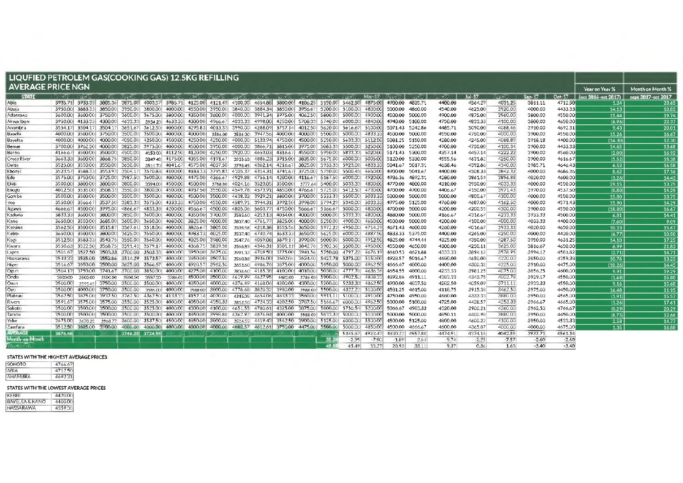| LIQUFIED PETROLEM GAS(COOKING GAS) 12.5KG REFILLING |         |                         |                 |                                 |               |                                                               |                 |                                 |                         |                 |                                         |            |                         |                         |                 |          |         |         |          |         |         |         |                                        |                  |
|-----------------------------------------------------|---------|-------------------------|-----------------|---------------------------------|---------------|---------------------------------------------------------------|-----------------|---------------------------------|-------------------------|-----------------|-----------------------------------------|------------|-------------------------|-------------------------|-----------------|----------|---------|---------|----------|---------|---------|---------|----------------------------------------|------------------|
| <b>AVERAGE PRICE NGN</b>                            |         |                         |                 |                                 |               |                                                               |                 |                                 |                         |                 |                                         |            |                         |                         |                 |          |         |         |          |         |         |         | Year on Year %                         | Month on Month % |
| <b>STATE</b>                                        | $-16$   | $-x + 1$                | $-16$           | $Au = K$                        | <b>May-16</b> | $-16$                                                         | N 1-17          | <b>PALIET 16</b>                | $-3.3 - 16$             | $OKL - 1K$      | <b>NOVE UP</b>                          | $-65 - 16$ | $-17$                   | $-327 - 1$              | $M = -17$       | Aug = 17 | ne 12.  | $-17$   | $Jul-17$ | JF=1⊋   | Sep-17  | Oct-17  | (oct 2016-oct 2017) sept 2017-oct 2017 |                  |
| Abia                                                | 3935.71 | 3933.33                 | 3805.36         | 3875.00                         | 4003.57       |                                                               |                 | 3985.71 4125.00 4121.43 4100.00 |                         | 4654.88         | 3800.00                                 |            | 4106.25 5150.00         | 5462.50                 | 4875.00         | 4900.00  | 4835.71 | 4400.00 | 4564.29  | 4031.25 | 3811.11 | 4712.50 | 1.24                                   | 23.65            |
| Abuja                                               | 3950.00 | 3883.33                 | 3850.00         | 3950.00                         | 3800.00       | 4000.00 4550.00                                               |                 | 3950.00                         | 3840.00                 | 3884.34         | 3850.00                                 | 3956.67    | 5200.00                 | 5100.00                 | 4800.00         | 5000.00  | 4860.00 | 4540.00 | 4625.00  | 3920.00 | 4000.00 | 4433.33 | 14.13                                  | 10.83            |
| Adamawa                                             |         | 3600.00 3600.00         | 3750.00         | 3600.00                         |               | 3675.00 3800.00                                               | 4350.00         | 3600.00                         | 4000.00                 | 3941.34         | 3975.00                                 |            | 4062.50 5800.00         | 5000.00                 | 4900.00         | 4500.00  | 5000.00 | 4900.00 | 4875.00  | 3960.00 | 3800.00 | 4550.00 | 15.44                                  | 19.74            |
| Akwa Ibom                                           |         | 3950.00 4133.33 4300.00 |                 | 4633.33                         |               | 3934 20 4633.33 4300.00                                       |                 | 4966.67                         | 4033.33                 | 4998.00         | 4250.00                                 |            | 5708.33 5740.00         | 6000.00                 | 4840.00         | 4940.00  | 5100.00 | 4750.00 | 4833.33  | 4100.00 | 3800.00 | 4650.00 | (6.96)                                 | 22.37            |
| Anambra                                             | 3554.17 | 3504.17                 | 3504.17         | 3651.67                         | 3612.50       | 4000.00 4295.83                                               |                 |                                 | 4013.33 3990.00         | 4288.09         | 3757.14                                 |            | 4012.50 5620.00         | 5616.67                 | 5100.00         | 5071.43  | 5242.86 | 4485,71 | 5090.00  | 4088.46 | 3910.00 | 4692.31 | 9.43                                   | 20.01            |
| Bauchi                                              |         | 4000.00 3500.00 3750.00 |                 | 3500.00                         | 3500.00       | 4000.00                                                       | 4000.00         | 3596.00                         | 3586.00                 | 3947.56         | 4000.00                                 |            | 4000.00 5500.00         | 5000.00                 | 4833.33         | 4500.00  | 5000.00 | 4550.00 | 4750.00  | 4000.00 | 3900.00 | 4550.00 | 15.26                                  | 16.67            |
| Bayelsa                                             |         | 4000.00 4000.00         | 4000,00         | 4050.00                         |               | 4250.00 4500.00 4250.00                                       |                 | 4250.00                         |                         | 4000.00 5133.94 | 4750.00                                 |            | 4500,00 5250,00         |                         | 5633.33 5112.50 | 5081.25  | 5150.00 | 4280.00 | 4245.00  | 4088.89 | 3918.18 | 4400.00 | (14.30)                                | 12.30            |
| Benue                                               |         | 3700.00 3962.50         | 4000.00         | 3825.00                         |               | 3975.00 4000.00                                               | 4500.00         | 3950.00                         | 4000.00                 | 3866.71         | 3815.00                                 |            | 3975.00 5083.33         | 5500.00                 | 5250.00         | 5100.00  | 5250.00 | 4700.00 | 4750.00  | 4100.34 | 3900.00 | 4433.33 | 14.65                                  | 13.68            |
| Borno                                               | 4166.67 |                         | 3500.00 3500.00 | 4500.00                         |               | 4150 00 4112.50 4120.00                                       |                 | 4250.00                         | 3920.00                 | 4653.03         | 4316.67                                 |            | 4550.00 5950.00         | 5833.33                 | 5020.00         | 5171.43  | 5300.00 | 4357.14 | 4457.14  | 4222.22 | 3900.00 | 4560.00 | (2.00)                                 | 16.92            |
| 'Cross River                                        | 3663.33 | 3600.00                 | 3868.75         | 3850.00                         |               | 3849 48 4175.00 4355.00                                       |                 | 4191.67                         | 393568                  | 4886.23         | 3915.00                                 |            | 3835.00 5675.00         | 6000.00                 | 5005.00         | 5120.00  | 5330.00 | 4555.56 | 4631.82  | 4250.00 | 3900.00 | 4616.67 | (5.52)                                 | 18.38            |
| Delta                                               |         | 3525.00 3550.00 3550.00 |                 | 3650.00                         | 351170        | 4041.67                                                       | 4575.00         | 4037.50                         | 379845                  | 4362.14         | 4216.67                                 |            | 3825.00 5933.33         | 5923.08                 | 4833.33         | 5041.67  | 5017.31 | 4638.46 | 4392.86  | 4340.00 | 3985.71 | 4646.43 | 6.52                                   | 16.58            |
| Ebony                                               | 3523.57 |                         | 3588.33 3553.93 | 3504.17                         |               | 3570.83 4100.00 4183.33                                       |                 |                                 | 3795.83 4105.37 4314.31 |                 | 3741.67                                 |            | 3725.00 5750.00         | 5500.45                 | 4650.00         | 4900.00  | 5041.67 | 4400.00 | 4508.33  | 3842.32 | 4000.00 | 4686.36 | 8.62                                   | 17.16            |
| Edo                                                 |         |                         |                 | 3575.00 3750.00 3725.00 3987.50 | 3600.00       |                                                               | 4000.00 4475.00 | 4366.67                         |                         | 4929.88 4755.14 | 4200.00                                 |            | 4116.67 5187.50         | 6000.00                 | 4920.00         | 4936.36  | 4892.31 | 4280.00 | 3861.54  | 3896.88 | 4020.00 | 4600.00 | (3.26)                                 | 14.43            |
| Ekiti                                               | 3500.00 | 3800.00                 | 3800.00         | 3800.00                         | 3594.00       | 4500.00 4500.00                                               |                 | 3788.80                         | 4024.16                 | 3523.05         | 3500.00                                 |            | 3777.64 5400.00         | 5033.33                 | 4800.00         | 4770.00  | 4800.00 | 4310.00 | 3950.00  | 4033.33 | 4000.00 | 4550.00 | 29.15                                  | 13.75            |
| <b>Enugu</b>                                        |         | 4012.50 3535.00 3508.33 |                 | 3550.00                         | 3800.00       |                                                               | 4500.00 4937.50 | 3550.00                         |                         | 4549.78 4573.91 | 4850.00                                 |            | 4766.67 5725.00         | 5412.50                 | 4730.00         | 4700.00  | 4700.00 | 4406.67 | 4150.00  | 3971.43 | 3970.00 | 4537.50 | (0.80)                                 | 14.29            |
| Gombe                                               | 3500.00 | 3500.00                 | 3500.00         | 3500.00                         | 3500.00       |                                                               | 4000.00 4500.00 | 3500.00                         |                         | 4638.32 3929.21 | 3800.00                                 |            | 3700.00 5333.33         | 5500.00                 | 5033.33         | 5000.00  | 5000.00 | 5000.00 | 4800.67  | 4300.00 | 4000.00 | 4550.00 | 15.80                                  | 13.75            |
| mo                                                  | 3550.00 | 3566.67                 | 3537.50         | 3583.33                         | 3575.00       |                                                               | 4333.33 4750.00 | 4550.00                         |                         | 4589.91 3944.31 | 3992.50                                 |            | 3998.00 5794.29         | 5340.00                 | 5033.33         | 4975.00  | 5125.00 | 4760.00 | 4687.00  | 4162.50 | 4000.00 | 4571.43 | 15.90                                  | 14.29            |
| Jigawa                                              | 4666.67 |                         | 4500.00 3995.00 | 4866.67                         |               | 4833.33 4200.00 4566.67                                       |                 | 4500.00                         |                         | 4805.06 5603.77 | 4750.00                                 |            | 5666.67 5166.67         | 5000,00                 | 4800.00         | 4700.00  | 5000.00 | 4200.00 | 4200.55  | 4300.00 | 3900.00 | 4550.00 | (18.80)                                | 16.67            |
| Kaduna                                              | 3833.33 | 3600.00                 | 3800.00         | 3850.00                         | 3600.00       |                                                               | 4000.00 4350.00 | 3700.00                         | 3585.60                 | 4213.13         | 4034.00                                 |            | 4000,00 5000,00         | 5333.33                 | 4800.00         | 4880.00  | 5000.00 | 4166.67 | 4316.67  | 4233.33 | 3933.33 | 4500.00 | 6.81                                   | 14.41            |
| Kano                                                | 3650.00 | 3550.00                 | 3685.00         | 3600.00                         | 3650.00       | 4080.00                                                       | 3825.00         | 4000.00                         | 3837.40                 | 4761.7          | 3825.00                                 |            | 4000.00 5250.00         | 4900.00                 | 4650.00         | 4500.00  | 5000.00 | 4200.00 | 4100.00  | 4000.00 | 4033.33 | 4400.00 | (7.60)                                 | 9.09             |
| Katsina                                             |         | 3562.50 3500.00 3515.87 |                 | 3567.61                         | 3518.06       | 4000.00                                                       | 3826.67         | 3805.00                         | 3505.58                 | 4218.38         | 3555.56                                 |            | 3650.00 5972.22         |                         | 4950.00 4714.29 | 4671.43  | 4600.00 | 4260.00 | 4016.67  | 3933.33 | 4020.00 | 4650.00 | 10.23                                  | 15.67            |
| Kebbi                                               |         | 3650.00 3500.00         | 3800.00         | 3625.00                         | 3550.00       |                                                               | 4000.00 4983.33 | 4025.00                         | 3537.40                 | 4740.74         | 3633.33                                 |            | 3650.00 5625.00         | 6000.00                 | 4887.50         | 4833.33  | 5375.00 | 4400.00 | 4265.00  | 4250.00 | 4000.00 | 4420.00 | (6.77)                                 | 10.50            |
| Kogi                                                |         | 3512.50 3583.33         | 3543.75         | 3550.00                         | 3560.00       |                                                               | 4000.00 4025.00 | 3980.00                         | 3547.76                 | 4059.08         | 3879.17                                 |            | 3990.00 5000.00         | 5000.00                 | 4912.50         | 4825.00  | 4744.44 | 4325.00 | 4350.00  | 4287.50 | 3950.00 | 4631.25 | 14.10                                  | 17.25            |
| Kwara                                               |         |                         |                 |                                 |               | 3550.63  3522.50  3568.75  3591.43  3579.17  4000.00  4368.75 |                 | 3839.38                         | 3566.85                 | 4346.31         | 3501.11                                 |            | 3842.78 5902.50         | 5500.00                 | 4950.00         | 4550.00  | 4650.00 | 4300.00 | 4250.11  | 3625.00 | 3816.67 | 4650.00 | 6.99                                   | 21.83            |
| Lagos                                               | 3501.67 |                         |                 | 3527.50 3503.33 3700.00 3503.33 |               | 4000.00 3950.00                                               |                 | 3675.00                         | 399132                  | 4709.501        | 3775.00                                 |            | 3941.56 5750.00         | 4797.22                 | 4676.19         | 4610.53  | 4621.88 | 4333.33 | 3894.12  | 3578.95 | 3994.12 | 4581.82 | (2.71)                                 | 14.71            |
| Nassarawa                                           | 3533.33 |                         |                 |                                 |               | 3525.00 3552.86 3514.29 3573.57 4000.00 3850.00               |                 | 3507.50                         | 3560.88                 | 3936.00         | 3602.08                                 | 3624.40    |                         | 5427.78 5375.00 5150.00 |                 | 4928.57  | 5016.67 | 4680.00 | 4650.00  | 4220.00 | 3850.00 | 4359.38 | 10.76                                  | 13.23            |
| Niger                                               | 3516.67 | 3650.00                 |                 |                                 |               | 3500.00 3625.00 3566.67 4000.00                               | 4928.57         | 3962.50                         | 3653.60                 | 4986.76         | 3875.00                                 | 4000,00    |                         | 5650.00 5000.00         | 4962.50         | 4666.67  | 4800.00 | 4400.00 | 4300.32  | 4225.00 | 3910.00 | 4475.00 | (10.26)                                | 14.45            |
| Ogun                                                | 3504.17 |                         |                 |                                 |               | 3750.00 3741.67 3700.00 3850.00 4000.00 4275.00               |                 | 4100.00                         |                         | 3834.60 4185.38 | 4100.00                                 |            | 4010.00 5030.00         |                         | 4777.78 4636.36 | 4654.55  | 4800.00 | 4233.33 | 3981.25  | 4075.00 | 3856.25 | 4600.00 | 9.91                                   | 19.29            |
| Ondo                                                | 3500.00 | 3500.00                 | 3500.00         | 3500.00                         | 3587.20       | 3786.00                                                       | 4500.00         | 3500.00                         |                         | 4619.99 4627.95 | 4482.00                                 |            | 3786.00 5900.00         | 4902.50                 | 4808.33         | 4892.86  | 491111  | 4383.33 | 4343.75  | 4002.78 | 3929.17 | 4550.00 | (1.68)                                 | 15.80            |
| Оялп                                                | 3500.00 | 3595.45                 |                 | 3750.00 3500.00                 | 3500.00       | 4000.00                                                       | 4850.00         | 4000.00                         |                         | 4376.49 4168.06 | 4200.00                                 | 4300.00    | 5200.00                 | 5233.33                 | 4862.50         | 4900.00- | 4837.50 | 4282.50 | 4059.09  | 3711.11 | 3933.33 | 4550.00 | 9.16                                   | 15.68            |
| Oyo                                                 | 3500.00 |                         |                 | 4000.00 3750.00 3500.00         |               | 3586.00 4000.00                                               | 3988.00         | 3800.00                         |                         | 4778.68 3820.32 | 3980.00                                 |            | 3988.00 5500.00         |                         | 4322.22 5100.00 | 4581.25  | 4615.00 | 4118.75 | 3915.36  | 3462.50 | 3975.00 | 4450.00 | 16.48                                  | 11.95            |
| Plateau                                             | 3562.50 |                         |                 |                                 |               | 3875.00 3937.50 3762.50 4362.50 4133.33                       | 4157.14         | 4070.00                         | 4345.05                 |                 | 4654.06 4833.33 3560.00 5911.11         |            |                         |                         | 5100.00 4910.00 | 4750.00  | 4950.00 | 4680.00 | 4333.33  | 3880.00 | 3950.00 | 4565.00 | (1.91)                                 | 15.57            |
| Rivers                                              | 3591.67 | 3575.00                 |                 | 3575.00 3550.00                 |               | 3525.00 4000.00 4050.00                                       |                 | 4358.33                         |                         | 3812.50 4724.33 |                                         |            | 4202.50 3787.50 5166.67 | 6000.00                 | 4962.50         | 5000.00  | 5100.00 | 4725.00 | 4428.57  | 4253.33 | 3966.67 | 4665.00 | (1.26)                                 | 17.61            |
| Sakato                                              | 3500,00 | 3500,00                 |                 | 3500.00 3500.00                 | 3525,001      | 4000.00 4300.00                                               |                 | 4100.00                         |                         |                 | 4651.55 4780.61 4325.00 3875.00 5800.00 |            |                         |                         | 5750.54 5200.00 | 5066.67  | 4983.33 | 4320.00 | 3900.21  | 4260.00 | 3962.50 | 4766.67 | (0.29)                                 | 20.29            |
| Taraba                                              | 3500.00 | 3500.00                 |                 | 3500.00 3500.00                 |               | 3500.00 4000.00 4850.00                                       |                 | 3998.88                         | 4362.92                 | 4876.84         | 4000.00                                 |            | 3988.00 5833.33         | 5000.00                 | 5100.00         | 5000.00  | 5000.00 | 4850.11 | 4400.98  | 3880.00 | 3950.00 | 4450.00 | (8.75)                                 | 12.66            |
| Yobe                                                | 3675.00 | 3670.22                 | 3968.77         | 3600.00                         | 3537.50       | 4500.00                                                       | 4850.00         | 3800.00                         | 3524.55                 | 4419.43         | 3562.50                                 | 3900.00    | 5125.00                 | 6000.00                 | 5500.00         | 4500.00  | 5125.00 | 4800.00 | 4600.22  | 4100.00 | 3950.00 | 4533.33 | 2.58                                   | 14.77            |
| Zamfara                                             | 3512.50 |                         | 3625.00 3 00 00 | 4000.00                         | 4000.00       | 4000.00 4000.00                                               |                 | 4000.00                         |                         |                 | 4882.57 4612.61 3750.00 4475.00 5500.00 |            |                         | 5000.00                 | 4850.00         | 4500.00  | 4666.67 | 4600.00 | 4365.87  | 4000.00 | 4000.00 | 4675.00 | 1.35                                   | 16.88            |
| <b>AVERAGE</b>                                      | 3676.46 |                         |                 | 3746.28 3724.56                 |               |                                                               |                 |                                 |                         |                 |                                         |            |                         | 5345.87                 | 4923.47         | 4830.22  | 4957.88 | 4474.91 | 4374.16  | 4042.85 | 3937.71 | 4561.14 |                                        |                  |
| Month-on-Month                                      |         |                         |                 |                                 |               |                                                               |                 |                                 |                         |                 |                                         |            | 35.25                   | -2.95                   | $-7.90$         | $-1.89$  | 2.64    | -9.74   | $-2.25$  | -7.57   | $-2.60$ | $-2.60$ |                                        |                  |
| Yeur City Ye                                        |         |                         |                 |                                 |               |                                                               |                 |                                 |                         |                 |                                         |            | 49.80                   | 45.49                   | 33.27           | 28.93    | 33.11   | 9.37    | 0.36     | 1.63    | $-3.40$ | $-3.40$ |                                        |                  |

#### **STATES WITH THE HIGHEST AVERAGE PRICES**

| SOKOTO  | 4766.67 |
|---------|---------|
| ABIA    | 4712.50 |
| ANAMBRA | 4692.31 |

#### **STATES WITH THE LOWEST AVERAGE PRICES**

| KEBBI          | 4420.00 |
|----------------|---------|
| BAYELSA & KANO | 4400.00 |
| NASSARAWA      | 4359.38 |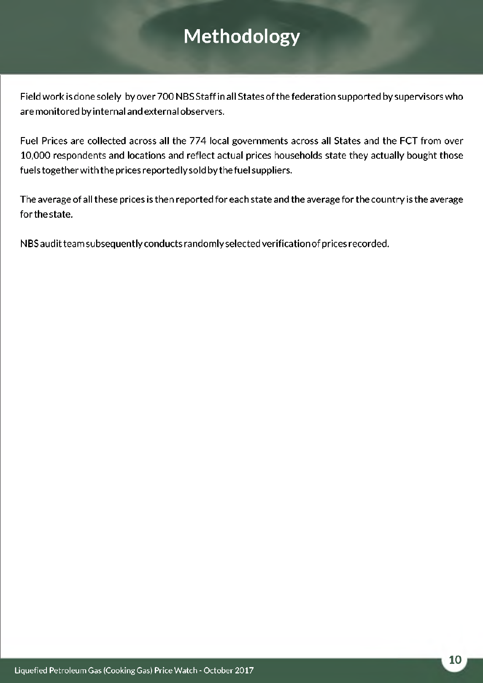## <span id="page-11-0"></span>**Methodology**

Field work is done solely by over 700 NBS Staff in all States of the federation supported by supervisors who are monitored by internal and external observers.

Fuel Prices are collected across all the 774 local governments across all States and the FCT from over 10,000 respondents and locations and reflect actual prices households state they actually bought those fuelstogetherwiththe prices reportedly sold by the fuel suppliers.

The average of all these prices is then reported for each state and the average for the country is the average for the state.

NBS audit team subsequently conducts randomly selected verification of prices recorded.